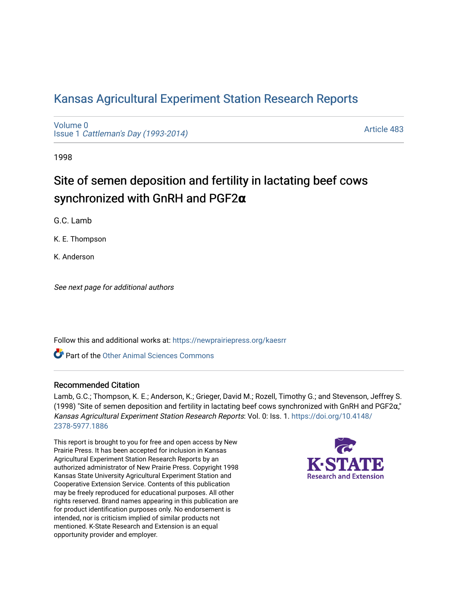# [Kansas Agricultural Experiment Station Research Reports](https://newprairiepress.org/kaesrr)

[Volume 0](https://newprairiepress.org/kaesrr/vol0) Issue 1 [Cattleman's Day \(1993-2014\)](https://newprairiepress.org/kaesrr/vol0/iss1) 

[Article 483](https://newprairiepress.org/kaesrr/vol0/iss1/483) 

1998

# Site of semen deposition and fertility in lactating beef cows synchronized with GnRH and PGF2**α**

G.C. Lamb

K. E. Thompson

K. Anderson

See next page for additional authors

Follow this and additional works at: [https://newprairiepress.org/kaesrr](https://newprairiepress.org/kaesrr?utm_source=newprairiepress.org%2Fkaesrr%2Fvol0%2Fiss1%2F483&utm_medium=PDF&utm_campaign=PDFCoverPages) 

Part of the [Other Animal Sciences Commons](http://network.bepress.com/hgg/discipline/82?utm_source=newprairiepress.org%2Fkaesrr%2Fvol0%2Fiss1%2F483&utm_medium=PDF&utm_campaign=PDFCoverPages)

#### Recommended Citation

Lamb, G.C.; Thompson, K. E.; Anderson, K.; Grieger, David M.; Rozell, Timothy G.; and Stevenson, Jeffrey S. (1998) "Site of semen deposition and fertility in lactating beef cows synchronized with GnRH and PGF2α," Kansas Agricultural Experiment Station Research Reports: Vol. 0: Iss. 1. [https://doi.org/10.4148/](https://doi.org/10.4148/2378-5977.1886) [2378-5977.1886](https://doi.org/10.4148/2378-5977.1886) 

This report is brought to you for free and open access by New Prairie Press. It has been accepted for inclusion in Kansas Agricultural Experiment Station Research Reports by an authorized administrator of New Prairie Press. Copyright 1998 Kansas State University Agricultural Experiment Station and Cooperative Extension Service. Contents of this publication may be freely reproduced for educational purposes. All other rights reserved. Brand names appearing in this publication are for product identification purposes only. No endorsement is intended, nor is criticism implied of similar products not mentioned. K-State Research and Extension is an equal opportunity provider and employer.

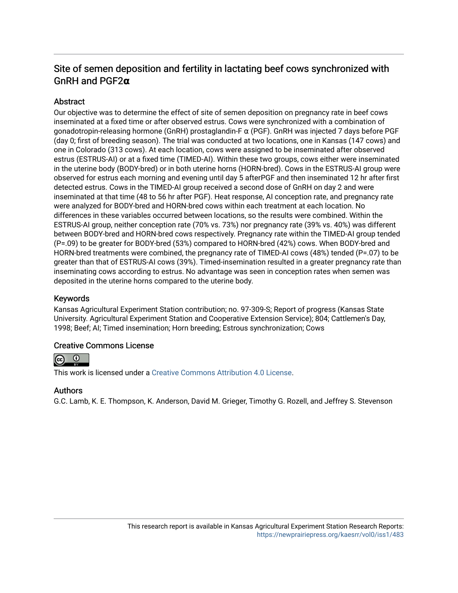## Site of semen deposition and fertility in lactating beef cows synchronized with GnRH and PGF2**α**

#### **Abstract**

Our objective was to determine the effect of site of semen deposition on pregnancy rate in beef cows inseminated at a fixed time or after observed estrus. Cows were synchronized with a combination of gonadotropin-releasing hormone (GnRH) prostaglandin-F α (PGF). GnRH was injected 7 days before PGF (day 0; first of breeding season). The trial was conducted at two locations, one in Kansas (147 cows) and one in Colorado (313 cows). At each location, cows were assigned to be inseminated after observed estrus (ESTRUS-AI) or at a fixed time (TIMED-AI). Within these two groups, cows either were inseminated in the uterine body (BODY-bred) or in both uterine horns (HORN-bred). Cows in the ESTRUS-AI group were observed for estrus each morning and evening until day 5 afterPGF and then inseminated 12 hr after first detected estrus. Cows in the TIMED-AI group received a second dose of GnRH on day 2 and were inseminated at that time (48 to 56 hr after PGF). Heat response, AI conception rate, and pregnancy rate were analyzed for BODY-bred and HORN-bred cows within each treatment at each location. No differences in these variables occurred between locations, so the results were combined. Within the ESTRUS-AI group, neither conception rate (70% vs. 73%) nor pregnancy rate (39% vs. 40%) was different between BODY-bred and HORN-bred cows respectively. Pregnancy rate within the TIMED-AI group tended (P=.09) to be greater for BODY-bred (53%) compared to HORN-bred (42%) cows. When BODY-bred and HORN-bred treatments were combined, the pregnancy rate of TIMED-AI cows (48%) tended (P=.07) to be greater than that of ESTRUS-AI cows (39%). Timed-insemination resulted in a greater pregnancy rate than inseminating cows according to estrus. No advantage was seen in conception rates when semen was deposited in the uterine horns compared to the uterine body.

#### Keywords

Kansas Agricultural Experiment Station contribution; no. 97-309-S; Report of progress (Kansas State University. Agricultural Experiment Station and Cooperative Extension Service); 804; Cattlemen's Day, 1998; Beef; AI; Timed insemination; Horn breeding; Estrous synchronization; Cows

#### Creative Commons License



This work is licensed under a [Creative Commons Attribution 4.0 License](https://creativecommons.org/licenses/by/4.0/).

#### Authors

G.C. Lamb, K. E. Thompson, K. Anderson, David M. Grieger, Timothy G. Rozell, and Jeffrey S. Stevenson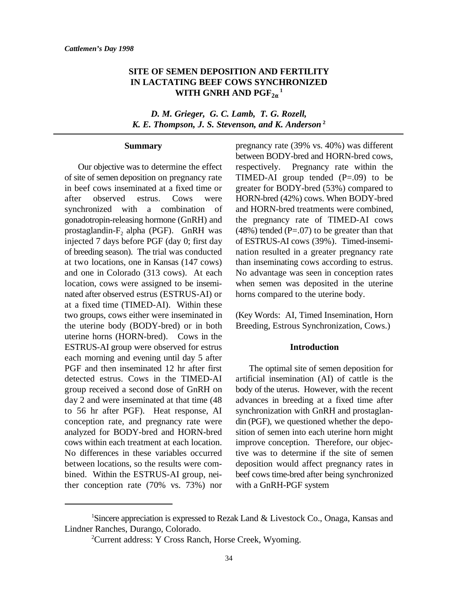### **SITE OF SEMEN DEPOSITION AND FERTILITY IN LACTATING BEEF COWS SYNCHRONIZED WITH GNRH AND**  $\mathrm{PGF}_{2\alpha}^{-1}$

*D. M. Grieger, G. C. Lamb, T. G. Rozell, K. E. Thompson, J. S. Stevenson, and K. Anderson* **<sup>2</sup>**

#### **Summary**

of site of semen deposition on pregnancy rate TIMED-AI group tended  $(P=.09)$  to be in beef cows inseminated at a fixed time or greater for BODY-bred (53%) compared to after observed estrus. Cows were HORN-bred (42%) cows. When BODY-bred synchronized with a combination of and HORN-bred treatments were combined, gonadotropin-releasing hormone (GnRH) and the pregnancy rate of TIMED-AI cows prostaglandin- $F_2$  alpha (PGF). GnRH was (48%) tended (P=.07) to be greater than that injected 7 days before PGF (day 0; first day of ESTRUS-AI cows (39%). Timed-insemiof breeding season). The trial was conducted nation resulted in a greater pregnancy rate at two locations, one in Kansas (147 cows) than inseminating cows according to estrus. and one in Colorado (313 cows). At each No advantage was seen in conception rates location, cows were assigned to be insemi- when semen was deposited in the uterine nated after observed estrus (ESTRUS-AI) or horns compared to the uterine body. at a fixed time (TIMED-AI). Within these two groups, cows either were inseminated in (Key Words: AI, Timed Insemination, Horn the uterine body (BODY-bred) or in both Breeding, Estrous Synchronization, Cows.) uterine horns (HORN-bred). Cows in the ESTRUS-AI group were observed for estrus each morning and evening until day 5 after PGF and then inseminated 12 hr after first The optimal site of semen deposition for detected estrus. Cows in the TIMED-AI artificial insemination (AI) of cattle is the group received a second dose of GnRH on body of the uterus. However, with the recent day 2 and were inseminated at that time (48 advances in breeding at a fixed time after to 56 hr after PGF). Heat response, AI synchronization with GnRH and prostaglanconception rate, and pregnancy rate were din (PGF), we questioned whether the depoanalyzed for BODY-bred and HORN-bred sition of semen into each uterine horn might cows within each treatment at each location. improve conception. Therefore, our objec-No differences in these variables occurred tive was to determine if the site of semen between locations, so the results were com- deposition would affect pregnancy rates in bined. Within the ESTRUS-AI group, nei- beef cows time-bred after being synchronized ther conception rate (70% vs. 73%) nor with a GnRH-PGF system

Our objective was to determine the effect respectively. Pregnancy rate within the of ESTRUS-AI cows (39%). Timed-insemipregnancy rate (39% vs. 40%) was different between BODY-bred and HORN-bred cows,

#### **Introduction**

Sincere appreciation is expressed to Rezak Land & Livestock Co., Onaga, Kansas and <sup>1</sup> Lindner Ranches, Durango, Colorado.

<sup>&</sup>lt;sup>2</sup> Current address: Y Cross Ranch, Horse Creek, Wyoming.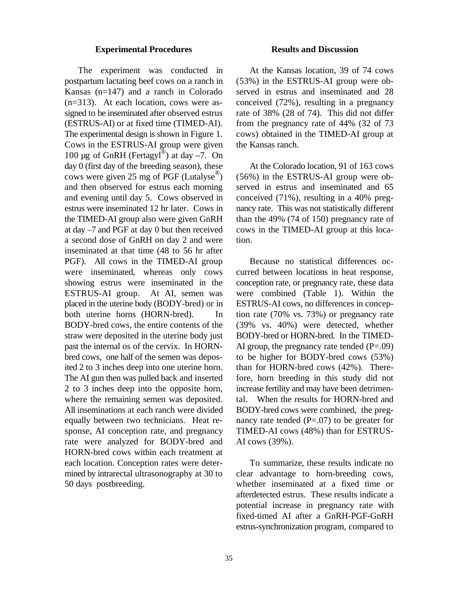#### **Experimental Procedures Results and Discussion**

postpartum lactating beef cows on a ranch in (53%) in the ESTRUS-AI group were ob-Kansas (n=147) and a ranch in Colorado served in estrus and inseminated and 28  $(n=313)$ . At each location, cows were as- conceived  $(72%)$ , resulting in a pregnancy signed to be inseminated after observed estrus rate of 38% (28 of 74). This did not differ (ESTRUS-AI) or at fixed time (TIMED-AI). from the pregnancy rate of 44% (32 of 73 The experimental design is shown in Figure 1. cows) obtained in the TIMED-AI group at Cows in the ESTRUS-AI group were given the Kansas ranch. 100 µg of GnRH (Fertagyl®) at day  $-7$ . On day 0 (first day of the breeding season), these At the Colorado location, 91 of 163 cows cows were given 25 mg of PGF (Lutalyse<sup> $\degree$ )</sup> and then observed for estrus each morning served in estrus and inseminated and 65 and evening until day 5. Cows observed in conceived (71%), resulting in a 40% pregestrus were inseminated 12 hr later. Cows in nancy rate. This was not statistically different the TIMED-AI group also were given GnRH than the 49% (74 of 150) pregnancy rate of at day –7 and PGF at day 0 but then received cows in the TIMED-AI group at this locaa second dose of GnRH on day 2 and were tion. inseminated at that time (48 to 56 hr after PGF). All cows in the TIMED-AI group Because no statistical differences ocwere inseminated, whereas only cows curred between locations in heat response, showing estrus were inseminated in the conception rate, or pregnancy rate, these data ESTRUS-AI group. At AI, semen was were combined (Table 1). Within the placed in the uterine body (BODY-bred) or in ESTRUS-AI cows, no differences in concepboth uterine horns (HORN-bred). In tion rate (70% vs. 73%) or pregnancy rate BODY-bred cows, the entire contents of the (39% vs. 40%) were detected, whether straw were deposited in the uterine body just BODY-bred or HORN-bred. In the TIMEDpast the internal os of the cervix. In HORN- AI group, the pregnancy rate tended  $(P=.09)$ bred cows, one half of the semen was depos- to be higher for BODY-bred cows (53%) ited 2 to 3 inches deep into one uterine horn. than for HORN-bred cows (42%). There-The AI gun then was pulled back and inserted fore, horn breeding in this study did not 2 to 3 inches deep into the opposite horn, increase fertility and may have been detrimenwhere the remaining semen was deposited. tal. When the results for HORN-bred and All inseminations at each ranch were divided BODY-bred cows were combined, the pregequally between two technicians. Heat re- nancy rate tended  $(P=.07)$  to be greater for sponse, AI conception rate, and pregnancy TIMED-AI cows (48%) than for ESTRUSrate were analyzed for BODY-bred and AI cows (39%). HORN-bred cows within each treatment at each location. Conception rates were deter- To summarize, these results indicate no mined by intrarectal ultrasonography at 30 to clear advantage to horn-breeding cows,

The experiment was conducted in At the Kansas location, 39 of 74 cows

 $(56\%)$  in the ESTRUS-AI group were ob-

50 days postbreeding. whether inseminated at a fixed time or afterdetected estrus. These results indicate a potential increase in pregnancy rate with fixed-timed AI after a GnRH-PGF-GnRH estrus-synchronization program, compared to